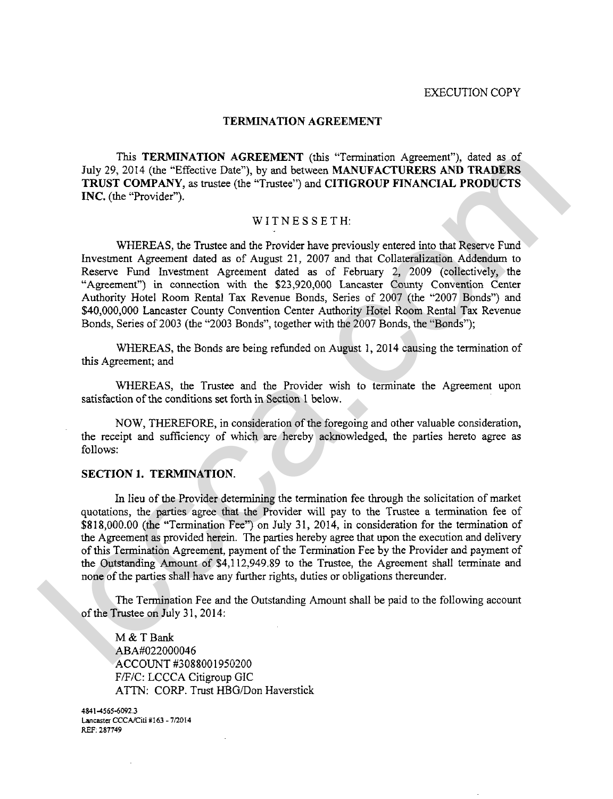### **TERMINATION AGREEMENT**

This **TERMINATION AGREEMENT** (this "Termination Agreement"), dated as of July 29, 2014 (the "Effective Date"), by and between **MANUFACTURERS AND TRADERS TRUST COMPANY, as** trustee (the "Trustee") and **CITIGROUP FINANCIAL PRODUCTS INC.** (the "Provider").

# WITNESSETH:

WHEREAS, the Trustee and the Provider have previously entered into that Reserve Fund Investment Agreement dated as of August 21, 2007 and that Collateralization Addendum to Reserve Fund Investment Agreement dated as of February 2, 2009 (collectively, the "Agreement") in connection with the \$23,920,000 Lancaster County Convention Center Authority Hotel Room Rental Tax Revenue Bonds, Series of 2007 (the "2007 Bonds") and \$40,000,000 Lancaster County Convention Center Authority Hotel Room Rental Tax Revenue Bonds, Series of 2003 (the "2003 Bonds", together with the 2007 Bonds, the "Bonds"); This TEMMINATION AGREPANESY (plus Termination Agreement), dust as of<br>
July 29, 2014 (the "Effective Date"), by and between MANUFACTUREES AND TRADERS<br>
TRUST COMPANY, as rease (the "Trustee") and CITIGROUP FINANCIAL PRODUCT

WHEREAS, the Bonds are being refunded on August 1,2014 causing the termination of this Agreement; and

WHEREAS, the Trustee and the Provider wish to terminate the Agreement upon satisfaction of the conditions set forth in Section 1 below.

NOW, THEREFORE, in consideration of the foregoing and other valuable consideration, the receipt and sufficiency of which are hereby acknowledged, the parties hereto agree as follows:

# **SECTION 1. TERMINATION.**

In lieu of the Provider determining the termination fee through the solicitation of market quotations, the parties agree that the Provider will pay to the Trustee a termination fee of \$818,000.00 (the "Termination Fee") on July 31, 2014, in consideration for the termination of the Agreement as provided herein. The parties hereby agree that upon the execution and delivery of this Termination Agreement, payment of the Termination Fee by the Provider and payment of the Outstanding Amount of \$4,112.949.89 to the Trustee, the Agreement shall terminate and none of the parties shall have any further rights, duties or obligations thereunder.

The Termination Fee and the Outstanding Amount shall be paid to the following account of the Trustee on July 31,2014:

M & T Bank ABA#022000036 ACCOUNT #3088001950200 F/F/C: LCCCA Citigroup GIC ATTN: CORP. Trust HBG/Don Haverstick

**4841 -4565-6092.3 Lancaslcr** CCCNCiti # **163** - **7/20 <sup>14</sup> REF: 287749**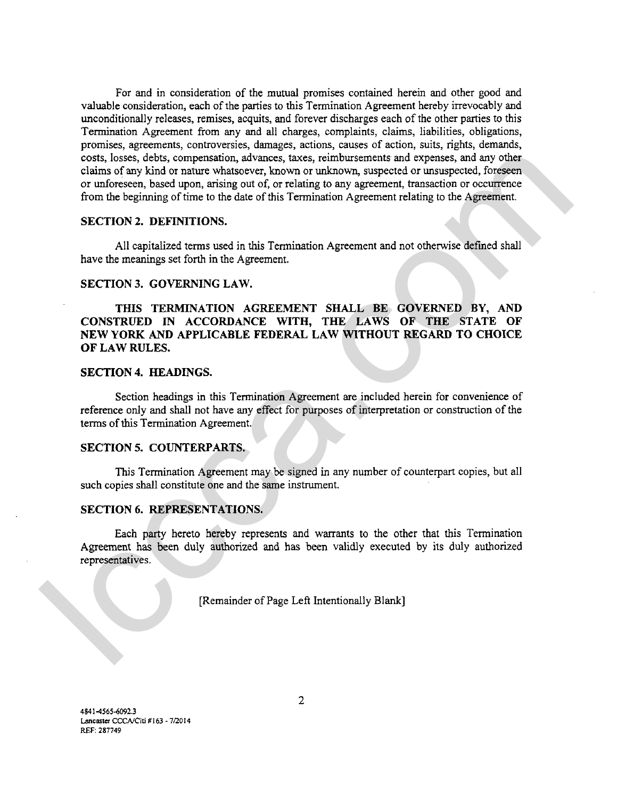For and in consideration of the mutual promises contained herein and other good and valuable consideration, each of the parties to this Termination Agreement hereby irrevocably and unconditionally releases, remises, acquits, and forever discharges each of the other parties to this Termination Agreement from any and all charges, complaints, claims, liabilities, obligations, promises, agreements, controversies, damages, actions, causes of action, suits, rights, demands, costs, losses, debts, compensation, advances, taxes, reimbursements and expenses, and any other claims of any kind or nature whatsoever, known or unknown, suspected or unsuspected, foreseen or unforeseen, based upon, arising out of, or relating to any agreement, transaction or occurrence from the beginning of time to the date of this Termination Agreement relating to the Agreement. costs, loster, dots, comparation, atlowance, itses, trainwarenents and expenses, comparation in the beginning of the beginning of the train of the relation of the relation of the relation of the relation of the relation of

### **SECTION 2. DEFINITIONS.**

All capitalized terms used in this Termination Agreement and not otherwise defined shall have the meanings set forth in the Agreement.

# **SECTION 3. GOVERNING LAW.**

**THIS TERMINATION AGREEMENT SHALL BE GOVERNED BY, AND CONSTRUED IN ACCORDANCE WITH, THE LAWS OF THE STATE OF NEW YORK AND APPLICABLE FEDERAL LAW WITHOUT REGARD TO CHOICE OF LAW RULES.** 

## **SECTION 4. HEADINGS.**

Section headings in this Termination Agreement are included herein for convenience of reference only and shall not have any effect for purposes of interpretation or construction of the terms of this Termination Agreement.

## **SECTION 5. COUNTERPARTS.**

This Termination Agreement may be signed in any number of counterpart copies, but all such copies shall constitute one and the same instrument.

### **SECTION 6. REPRESENTATIONS.**

Each party hereto hereby represents and warrants to the other that this Termination Agreement has been duly authorized and has been validly executed by its duly authorized representatives.

[Remainder of Page Left Intentionally Blank]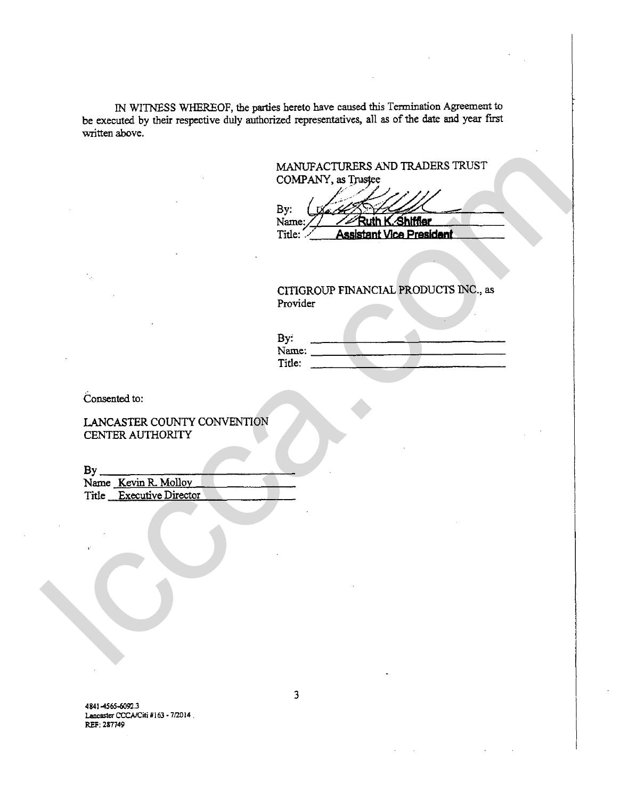IN WITNESS WHEREOF, the **parties** hereto have caused this Termination **Agreement** to be executed by their respective duly authorized representatives, all as of the **date** and year **fust**  written above.

> MANUFACTURERS AND TRADERS **TRUST COMPANY, as** TNsfee

By:  $\begin{array}{c} \begin{array}{c} \text{B} \\ \text{Name:} \end{array} \end{array}$ **SECULARE SECULARES IN THE SECURE AND TRADERS TRUST<br>
<b>NANUFACTURERS AND TRADERS TRUST**<br> **NAMUFACTURERS AND TRADERS TRUST**<br> **INCOMPANY, as Trustee**<br> **By:** (<br> **I-CITIOROUP FINANCIAL PRODUCTS INC., as**<br> **Provider** MANUFACTIRERS AND TRADERS TRUST<br>
COMPANY, as Trages<br>
By ...<br>
News: A straight Manufaction<br>
True And Manufaction<br>
Consented to:<br>
Consented to:<br>
Consented to:<br>
Consented to:<br>
CANCASTER COUNTY CONVENTION<br>
The Executive Dility

CITIGROUP FINANCIAL **PRODUCTS NC.,** as Provider

| By:    |  |  |  |
|--------|--|--|--|
| Name:  |  |  |  |
| Title: |  |  |  |

Consented to:

LANCASTER COUNTY CONVENTION **CENTER** AUTHORITY

**BY** 

Name Kevin R Mollov **Title** Executive Director

**4841456560923 Lancaster CCCA/Citi #163 - 7/2014 REF: <sup>287749</sup>**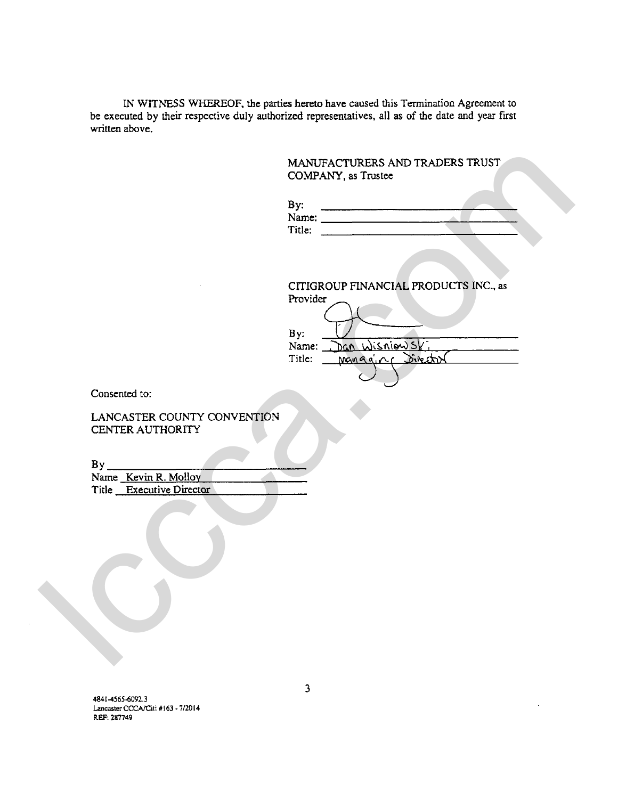IN **WITNESS WHEREOF, the parties hereto have caused this Termination Agreement to be executed by their respective duly authorized representatives, all as of the date and year first written above.** 

|                                                  | MANUFACTURERS AND TRADERS TRUST<br>COMPANY, as Trustee                                                                                                                                                                                                                                                                                                                                                               |
|--------------------------------------------------|----------------------------------------------------------------------------------------------------------------------------------------------------------------------------------------------------------------------------------------------------------------------------------------------------------------------------------------------------------------------------------------------------------------------|
|                                                  | By:<br>Name: $\frac{1}{\sqrt{1-\frac{1}{2}}}\left\{ \frac{1}{2} + \frac{1}{2} + \frac{1}{2} + \frac{1}{2} + \frac{1}{2} + \frac{1}{2} + \frac{1}{2} + \frac{1}{2} + \frac{1}{2} + \frac{1}{2} + \frac{1}{2} + \frac{1}{2} + \frac{1}{2} + \frac{1}{2} + \frac{1}{2} + \frac{1}{2} + \frac{1}{2} + \frac{1}{2} + \frac{1}{2} + \frac{1}{2} + \frac{1}{2} + \frac{1}{2} + \frac{1}{2} + \frac{1}{2} + \frac$<br>Title: |
|                                                  | CITIGROUP FINANCIAL PRODUCTS INC., as<br>Provider<br>By:<br>Dan WisniewsV,<br>Name:<br>Manggior Director<br>Title:                                                                                                                                                                                                                                                                                                   |
| Consented to:                                    |                                                                                                                                                                                                                                                                                                                                                                                                                      |
| LANCASTER COUNTY CONVENTION<br>CENTER AUTHORITY  |                                                                                                                                                                                                                                                                                                                                                                                                                      |
| Name Kevin R. Molloy<br>Title Executive Director |                                                                                                                                                                                                                                                                                                                                                                                                                      |
|                                                  |                                                                                                                                                                                                                                                                                                                                                                                                                      |
|                                                  |                                                                                                                                                                                                                                                                                                                                                                                                                      |
|                                                  |                                                                                                                                                                                                                                                                                                                                                                                                                      |

**4841 4565-6092.3 Lancaster CCCA/Citi #163 - 7/2014 REF. 287749**